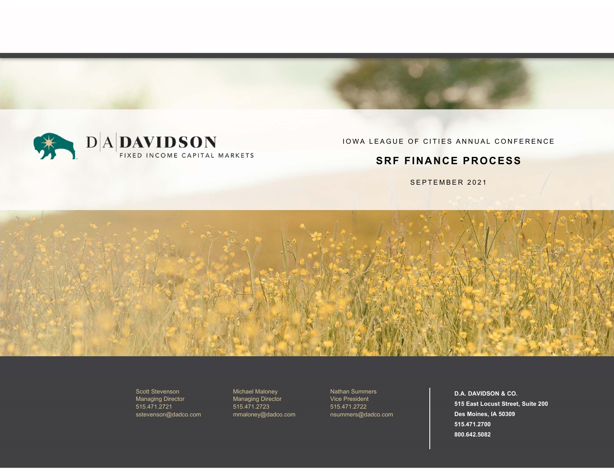

IOWA LEAGUE OF CITIES ANNUAL CONFERENCE

### **SRF FINANCE PROCESS**

SEPTEMBER 2021



Scott Stevenson Managing Director 515.471.2721sstevenson@dadco.com Michael Maloney Managing Director 515.471.2723 mmaloney@dadco.com

Nathan Summers Vice President 515.471.2722nsummers@dadco.com

**D.A. DAVIDSON & CO. 515 East Locust Street, Suite 200 Des Moines, IA 50309 515.471.2700800.642.5082**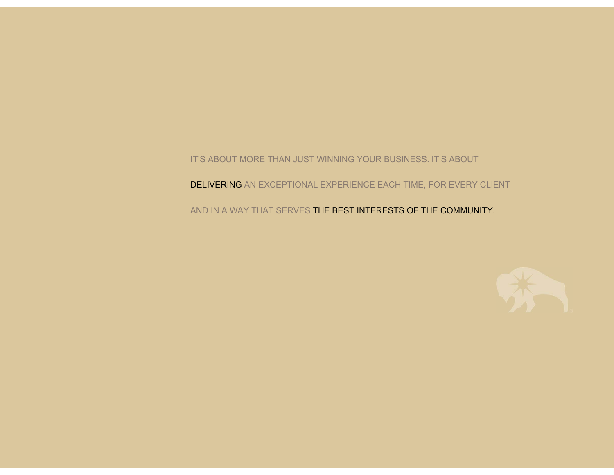IT'S ABOUT MORE THAN JUST WINNING YOUR BUSINESS. IT'S ABOUT

**DELIVERING** AN EXCEPTIONAL EXPERIENCE EACH TIME, FOR EVERY CLIENT

AND IN A WAY THAT SERVES THE BEST INTERESTS OF THE COMMUNITY.

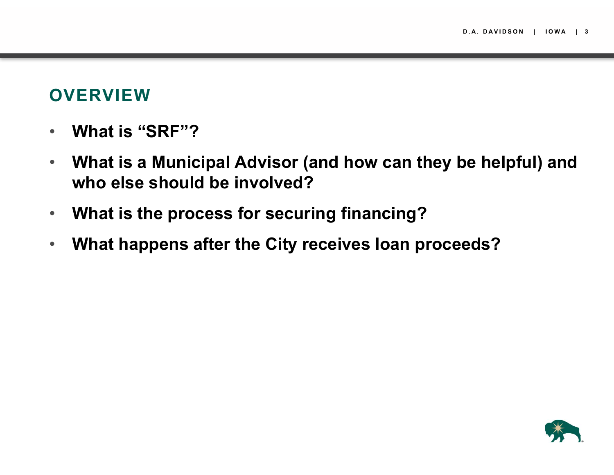### **OVERVIEW**

- $\bullet$ **What is "SRF"?**
- $\bullet$  **What is a Municipal Advisor (and how can they be helpful) and who else should be involved?**
- $\bullet$ **What is the process for securing financing?**
- $\bullet$ **What happens after the City receives loan proceeds?**

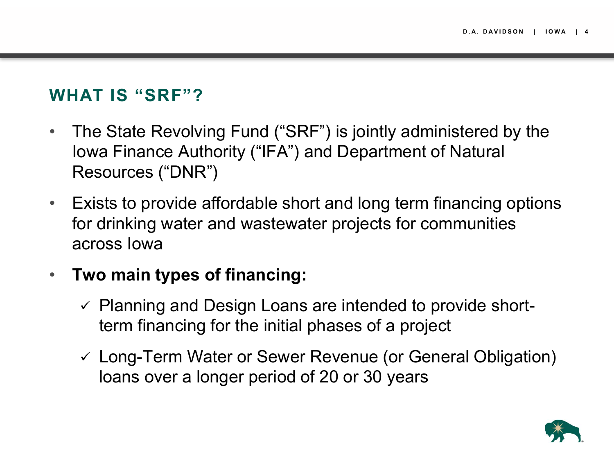### **WHAT IS "SRF"?**

- $\bullet$  The State Revolving Fund ("SRF") is jointly administered by the Iowa Finance Authority ("IFA") and Department of Natural Resources ("DNR")
- $\bullet$  Exists to provide affordable short and long term financing options for drinking water and wastewater projects for communities across Iowa
- $\bullet$  **Two main types of financing:**
	- $\checkmark$  Planning and Design Loans are intended to provide shortterm financing for the initial phases of a project
	- Long-Term Water or Sewer Revenue (or General Obligation) loans over a longer period of 20 or 30 years

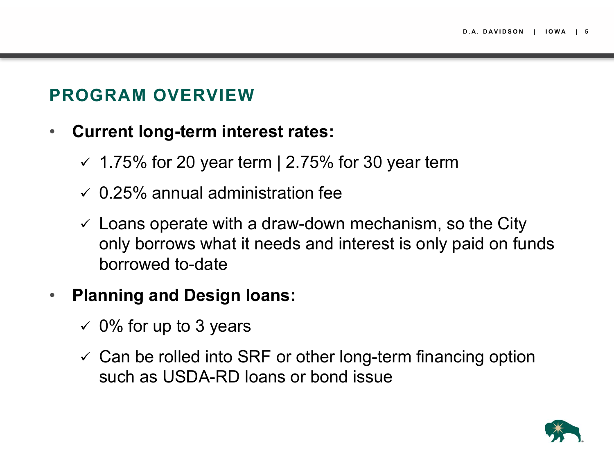# **PROGRAM OVERVIEW**

- $\bullet$  **Current long-term interest rates:**
	- $\le$  1.75% for 20 year term | 2.75% for 30 year term
	- $\checkmark$  0.25% annual administration fee
	- $\checkmark$  Loans operate with a draw-down mechanism, so the City only borrows what it needs and interest is only paid on funds borrowed to-date

#### $\bullet$ **Planning and Design loans:**

- $\checkmark$  0% for up to 3 years
- $\checkmark$  Can be rolled into SRF or other long-term financing option such as USDA-RD loans or bond issue

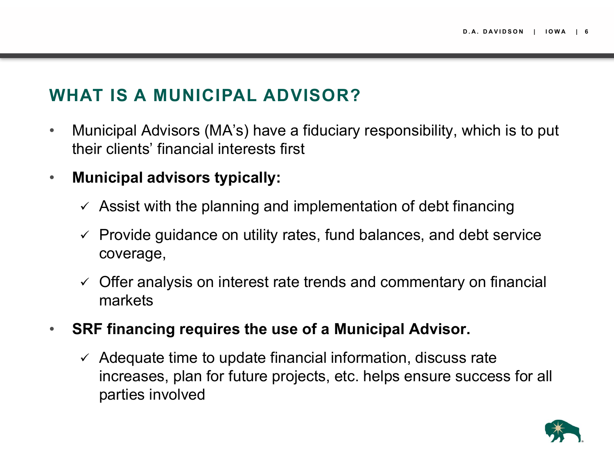## **WHAT IS A MUNICIPAL ADVISOR?**

- $\bullet$  Municipal Advisors (MA's) have a fiduciary responsibility, which is to put their clients' financial interests first
- $\bullet$  **Municipal advisors typically:**
	- $\checkmark$  Assist with the planning and implementation of debt financing
	- $\checkmark$  Provide guidance on utility rates, fund balances, and debt service coverage,
	- $\checkmark$  Offer analysis on interest rate trends and commentary on financial markets
- $\bullet$  **SRF financing requires the use of a Municipal Advisor.**
	- $\checkmark$  Adequate time to update financial information, discuss rate increases, plan for future projects, etc. helps ensure success for all parties involved

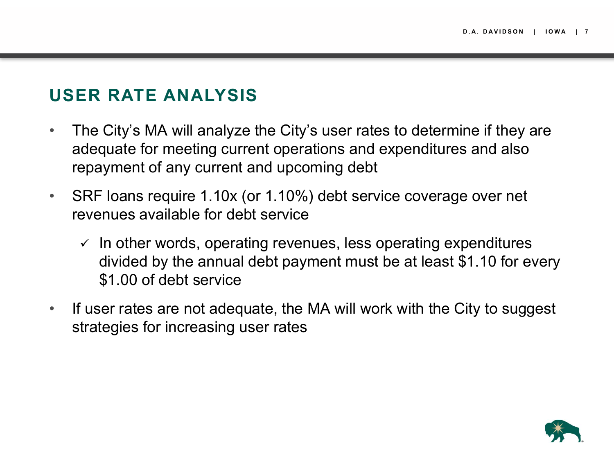## **USER RATE ANALYSIS**

- $\bullet$  The City's MA will analyze the City's user rates to determine if they are adequate for meeting current operations and expenditures and also repayment of any current and upcoming debt
- $\bullet$  SRF loans require 1.10x (or 1.10%) debt service coverage over net revenues available for debt service
	- $\checkmark$  In other words, operating revenues, less operating expenditures divided by the annual debt payment must be at least \$1.10 for every \$1.00 of debt service
- $\bullet$  If user rates are not adequate, the MA will work with the City to suggest strategies for increasing user rates

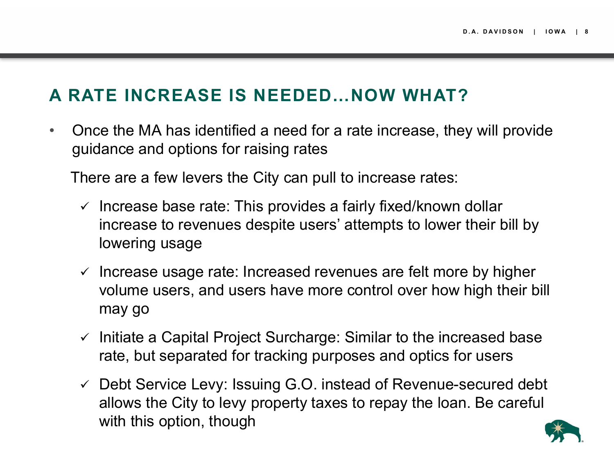# **A RATE INCREASE IS NEEDED…NOW WHAT?**

• Once the MA has identified a need for a rate increase, they will provide guidance and options for raising rates

There are a few levers the City can pull to increase rates:

- $\checkmark$  Increase base rate: This provides a fairly fixed/known dollar increase to revenues despite users' attempts to lower their bill by lowering usage
- $\checkmark$  Increase usage rate: Increased revenues are felt more by higher volume users, and users have more control over how high their bill may go
- $\checkmark$  Initiate a Capital Project Surcharge: Similar to the increased base rate, but separated for tracking purposes and optics for users
- Debt Service Levy: Issuing G.O. instead of Revenue-secured debt allows the City to levy property taxes to repay the loan. Be careful with this option, though

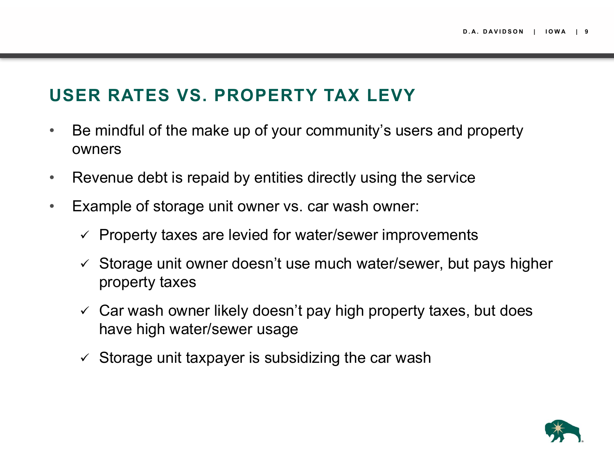# **USER RATES VS. PROPERTY TAX LEVY**

- $\bullet$  Be mindful of the make up of your community's users and property owners
- $\bullet$ Revenue debt is repaid by entities directly using the service
- $\bullet$  Example of storage unit owner vs. car wash owner:
	- $\checkmark$  Property taxes are levied for water/sewer improvements
	- $\checkmark$  Storage unit owner doesn't use much water/sewer, but pays higher property taxes
	- $\checkmark$  Car wash owner likely doesn't pay high property taxes, but does have high water/sewer usage
	- $\checkmark$  Storage unit taxpayer is subsidizing the car wash

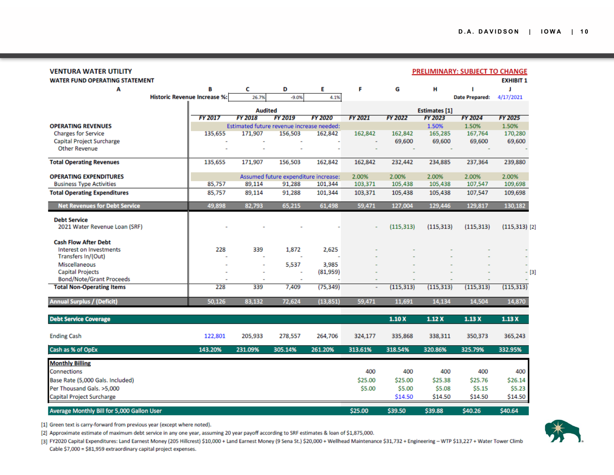| VENTURA WATER UTILITY                                |                                     |                |                                           |                                      |                |                      |                |                | <b>PRELIMINARY: SUBJECT TO CHANGE</b> |                  |
|------------------------------------------------------|-------------------------------------|----------------|-------------------------------------------|--------------------------------------|----------------|----------------------|----------------|----------------|---------------------------------------|------------------|
| <b>WATER FUND OPERATING STATEMENT</b>                |                                     |                |                                           |                                      |                |                      |                |                |                                       | <b>EXHIBIT 1</b> |
| Α                                                    | в                                   |                | c                                         | D                                    | E              | F                    | G              | н              |                                       | л                |
|                                                      | <b>Historic Revenue Increase %:</b> |                | 26.7%                                     | $-9.0%$                              | 4.1%           |                      |                |                | <b>Date Prepared:</b>                 | 4/17/2021        |
|                                                      |                                     | <b>Audited</b> |                                           |                                      |                | <b>Estimates [1]</b> |                |                |                                       |                  |
|                                                      | <b>FY 2017</b>                      |                | <b>FY 2018</b>                            | FY 2019                              | <b>FY 2020</b> | FY 2021              | <b>FY 2022</b> | <b>FY 2023</b> | <b>FY 2024</b>                        | <b>FY 2025</b>   |
| <b>OPERATING REVENUES</b>                            |                                     |                | Estimated future revenue increase needed: |                                      |                |                      |                | 1.50%          | 1.50%                                 | 1.50%            |
| <b>Charges for Service</b>                           |                                     | 135,655        | 171,907                                   | 156,503                              | 162,842        | 162,842              | 162,842        | 165,285        | 167,764                               | 170,280          |
| Capital Project Surcharge<br><b>Other Revenue</b>    |                                     |                |                                           |                                      |                |                      | 69,600         | 69,600         | 69,600                                | 69,600           |
|                                                      |                                     |                |                                           |                                      |                |                      |                |                |                                       |                  |
| <b>Total Operating Revenues</b>                      |                                     | 135,655        | 171,907                                   | 156,503                              | 162,842        | 162,842              | 232,442        | 234,885        | 237,364                               | 239,880          |
| <b>OPERATING EXPENDITURES</b>                        |                                     |                |                                           | Assumed future expenditure increase: |                | 2.00%                | 2.00%          | 2.00%          | 2.00%                                 | 2.00%            |
| <b>Business Type Activities</b>                      |                                     | 85,757         | 89,114                                    | 91,288                               | 101,344        | 103,371              | 105,438        | 105,438        | 107,547                               | 109,698          |
| <b>Total Operating Expenditures</b>                  |                                     | 85,757         | 89,114                                    | 91,288                               | 101,344        | 103,371              | 105,438        | 105,438        | 107,547                               | 109,698          |
| <b>Net Revenues for Debt Service</b>                 |                                     | 49,898         | 82,793                                    | 65,215                               | 61,498         | 59,471               | 127,004        | 129,446        | 129,817                               | 130,182          |
| <b>Debt Service</b><br>2021 Water Revenue Loan (SRF) |                                     |                |                                           |                                      |                |                      | (115, 313)     | (115, 313)     | (115, 313)                            | $(115, 313)$ [2] |
|                                                      |                                     |                |                                           |                                      |                |                      |                |                |                                       |                  |
| <b>Cash Flow After Debt</b>                          |                                     |                |                                           |                                      |                |                      |                |                |                                       |                  |
| Interest on Investments<br>Transfers In/(Out)        |                                     | 228            | 339                                       | 1,872                                | 2,625          |                      |                |                |                                       |                  |
| Miscellaneous                                        |                                     |                |                                           | 5,537                                | 3,985          |                      |                |                |                                       |                  |
| <b>Capital Projects</b>                              |                                     |                |                                           |                                      | (81,959)       |                      |                |                |                                       | - [3]            |
| <b>Bond/Note/Grant Proceeds</b>                      |                                     |                |                                           |                                      |                |                      |                |                |                                       |                  |
| <b>Total Non-Operating Items</b>                     |                                     | 228            | 339                                       | 7,409                                | (75, 349)      | ÷                    | (115, 313)     | (115, 313)     | (115, 313)                            | (115, 313)       |
| <b>Annual Surplus / (Deficit)</b>                    |                                     | 50,126         | 83,132                                    | 72,624                               | (13, 851)      | 59,471               | 11,691         | 14,134         | 14,504                                | 14,870           |
| <b>Debt Service Coverage</b>                         |                                     |                |                                           |                                      |                |                      | 1.10X          | 1.12X          | 1.13X                                 | 1.13X            |
| <b>Ending Cash</b>                                   |                                     | 122,801        | 205,933                                   | 278,557                              | 264,706        | 324,177              | 335,868        | 338,311        | 350,373                               | 365,243          |
| Cash as % of OpEx                                    | 143.20%                             |                | 231.09%                                   | 305.14%                              | 261.20%        | 313.61%              | 318.54%        | 320.86%        | 325.79%                               | 332.95%          |
| <b>Monthly Billing</b>                               |                                     |                |                                           |                                      |                |                      |                |                |                                       |                  |
| Connections                                          |                                     |                |                                           |                                      |                | 400                  | 400            | 400            | 400                                   | 400              |
| Base Rate (5,000 Gals. Included)                     |                                     |                |                                           |                                      |                | \$25.00              | \$25.00        | \$25.38        | \$25.76                               | \$26.14          |
| Per Thousand Gals. >5,000                            |                                     |                |                                           |                                      |                | \$5.00               | \$5.00         | \$5.08         | \$5.15                                | \$5.23           |
| Capital Project Surcharge                            |                                     |                |                                           |                                      |                |                      | \$14.50        | \$14.50        | \$14.50                               | \$14.50          |
| Average Monthly Bill for 5,000 Gallon User           |                                     |                |                                           |                                      |                | \$25.00              | \$39.50        | \$39.88        | \$40.26                               | \$40.64          |

[1] Green text is carry-forward from previous year (except where noted).

[2] Approximate estimate of maximum debt service in any one year, assuming 20 year payoff according to SRF estimates & loan of \$1,875,000.

[3] FY2020 Capital Expenditures: Land Earnest Money (205 Hillcrest) \$10,000 + Land Earnest Money (9 Sena St.) \$20,000 + Wellhead Maintenance \$31,732 + Engineering - WTP \$13,227 + Water Tower Climb Cable \$7,000 = \$81,959 extraordinary capital project expenses.

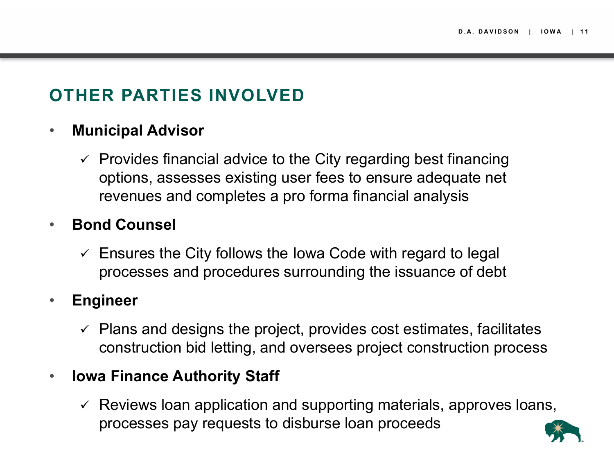# **OTHER PARTIES INVOLVED**

#### $\bullet$ **Municipal Advisor**

 $\checkmark$  Provides financial advice to the City regarding best financing options, assesses existing user fees to ensure adequate net revenues and completes a pro forma financial analysis

#### •**Bond Counsel**

 $\checkmark$  Ensures the City follows the Iowa Code with regard to legal processes and procedures surrounding the issuance of debt

#### •**Engineer**

 $\checkmark$  Plans and designs the project, provides cost estimates, facilitates construction bid letting, and oversees project construction process

#### •**Iowa Finance Authority Staff**

 $\checkmark$  Reviews loan application and supporting materials, approves loans, processes pay requests to disburse loan proceeds

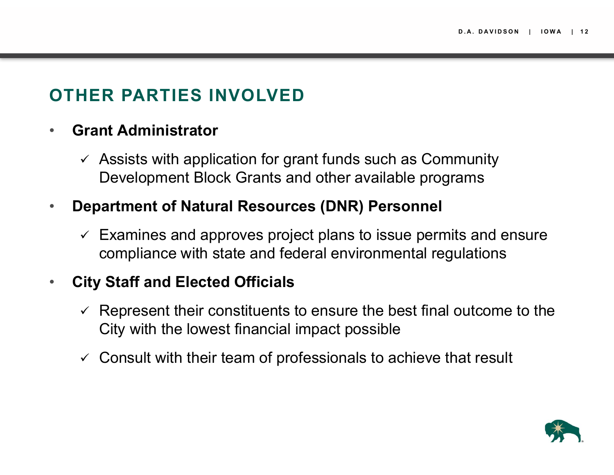# **OTHER PARTIES INVOLVED**

#### •**Grant Administrator**

 $\checkmark$  Assists with application for grant funds such as Community Development Block Grants and other available programs

#### $\bullet$ **Department of Natural Resources (DNR) Personnel**

 $\checkmark$  Examines and approves project plans to issue permits and ensure compliance with state and federal environmental regulations

#### $\bullet$ **City Staff and Elected Officials**

- $\checkmark$  Represent their constituents to ensure the best final outcome to the City with the lowest financial impact possible
- $\checkmark$  Consult with their team of professionals to achieve that result

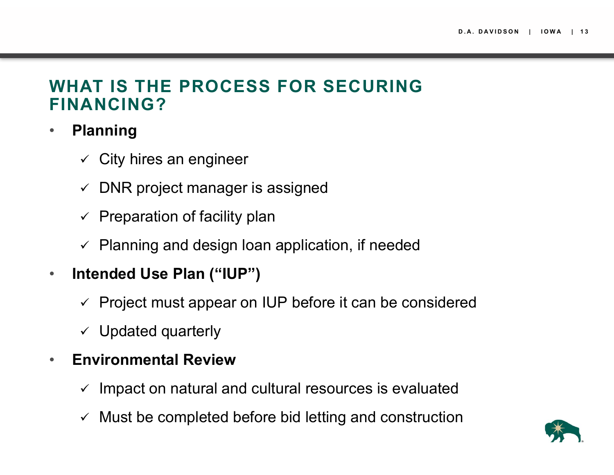### **WHAT IS THE PROCESS FOR SECURING FINANCING?**

- $\bullet$  **Planning**
	- $\checkmark$  City hires an engineer
	- $\checkmark$  DNR project manager is assigned
	- $\checkmark$  Preparation of facility plan
	- $\checkmark$  Planning and design loan application, if needed
- $\bullet$  **Intended Use Plan ("IUP")**
	- $\checkmark$  Project must appear on IUP before it can be considered
	- $\checkmark$  Updated quarterly
- $\bullet$  **Environmental Review**
	- $\checkmark$  Impact on natural and cultural resources is evaluated
	- $\checkmark$  Must be completed before bid letting and construction

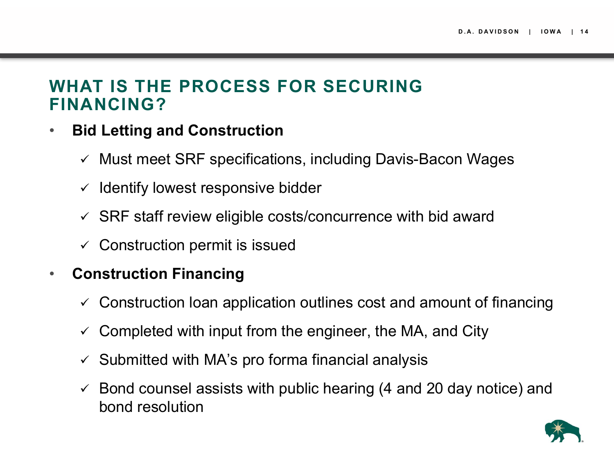### **WHAT IS THE PROCESS FOR SECURING FINANCING?**

- $\bullet$  **Bid Letting and Construction**
	- $\checkmark$  Must meet SRF specifications, including Davis-Bacon Wages
	- $\checkmark$  Identify lowest responsive bidder
	- $\checkmark$  SRF staff review eligible costs/concurrence with bid award
	- $\checkmark$  Construction permit is issued

#### •**Construction Financing**

- $\checkmark$  Construction loan application outlines cost and amount of financing
- $\checkmark$  Completed with input from the engineer, the MA, and City
- $\checkmark$  Submitted with MA's pro forma financial analysis
- $\checkmark$  Bond counsel assists with public hearing (4 and 20 day notice) and bond resolution

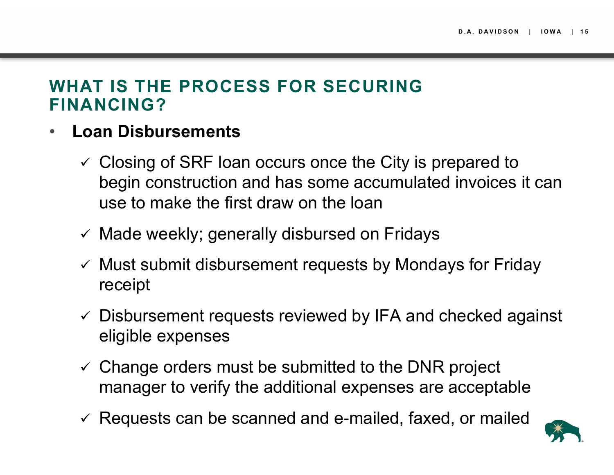### **WHAT IS THE PROCESS FOR SECURING FINANCING?**

- • **Loan Disbursements**
	- $\checkmark$  Closing of SRF loan occurs once the City is prepared to begin construction and has some accumulated invoices it can use to make the first draw on the loan
	- $\checkmark$  Made weekly; generally disbursed on Fridays
	- $\checkmark$  Must submit disbursement requests by Mondays for Friday receipt
	- $\checkmark$  Disbursement requests reviewed by IFA and checked against eligible expenses
	- $\checkmark$  Change orders must be submitted to the DNR project manager to verify the additional expenses are acceptable
	- $\checkmark$  Requests can be scanned and e-mailed, faxed, or mailed

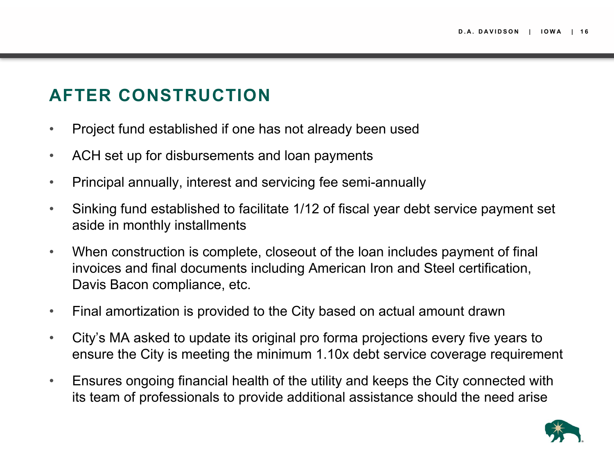# **AFTER CONSTRUCTION**

- $\bullet$ Project fund established if one has not already been used
- $\bullet$ ACH set up for disbursements and loan payments
- $\bullet$ Principal annually, interest and servicing fee semi-annually
- $\bullet$  Sinking fund established to facilitate 1/12 of fiscal year debt service payment set aside in monthly installments
- $\bullet$  When construction is complete, closeout of the loan includes payment of final invoices and final documents including American Iron and Steel certification, Davis Bacon compliance, etc.
- $\bullet$ Final amortization is provided to the City based on actual amount drawn
- $\bullet$  City's MA asked to update its original pro forma projections every five years to ensure the City is meeting the minimum 1.10x debt service coverage requirement
- $\bullet$  Ensures ongoing financial health of the utility and keeps the City connected with its team of professionals to provide additional assistance should the need arise

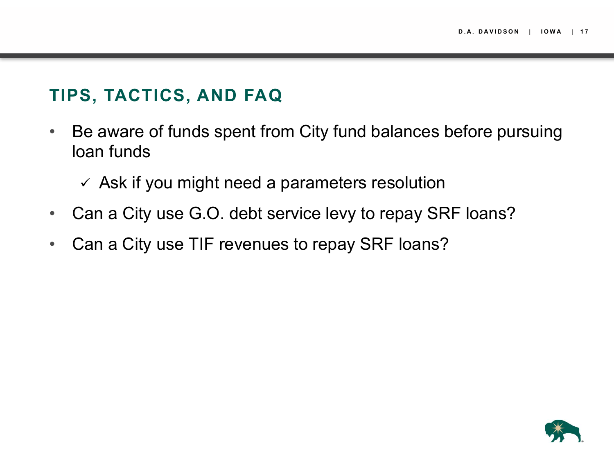## **TIPS, TACTICS, AND FAQ**

- $\bullet$  Be aware of funds spent from City fund balances before pursuing loan funds
	- $\checkmark$  Ask if you might need a parameters resolution
- $\bullet$ Can a City use G.O. debt service levy to repay SRF loans?
- •Can a City use TIF revenues to repay SRF loans?